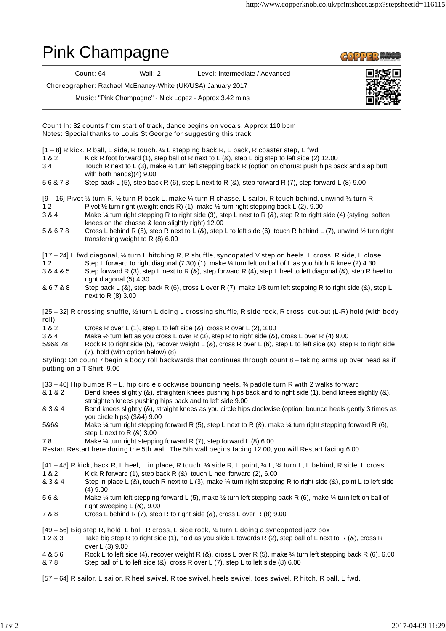## Pink Champagne

**COPPER WOR** 

Count: 64 Wall: 2 Level: Intermediate / Advanced

Choreographer: Rachael McEnaney-White (UK/USA) January 2017

Music: "Pink Champagne" - Nick Lopez - Approx 3.42 mins



1 & 2 Kick R foot forward (1), step ball of R next to L (&), step L big step to left side (2) 12.00 3 4 Touch R next to L (3), make ¼ turn left stepping back R (option on chorus: push hips back and slap butt with both hands)(4) 9.00 5 6 & 7 8 Step back L (5), step back R (6), step L next to R (&), step forward R (7), step forward L (8) 9.00 1 2 Pivot 1/2 turn right (weight ends R) (1), make 1/2 turn right stepping back L (2), 9.00 3 & 4 Make ¼ turn right stepping R to right side (3), step L next to R (&), step R to right side (4) (styling: soften knees on the chasse & lean slightly right) 12.00 5 & 6 7 8 Cross L behind R (5), step R next to L (&), step L to left side (6), touch R behind L (7), unwind ½ turn right transferring weight to R (8) 6.00 1 2 Step L forward to right diagonal (7.30) (1), make ¼ turn left on ball of L as you hitch R knee (2) 4.30 3 & 4 & 5 Step forward R (3), step L next to R (&), step forward R (4), step L heel to left diagonal (&), step R heel to right diagonal (5) 4.30 & 6 7 & 8 Step back L (&), step back R (6), cross L over R (7), make 1/8 turn left stepping R to right side (&), step L next to R (8) 3.00 1 & 2 Cross R over L (1), step L to left side (&), cross R over L (2), 3.00 3 & 4 Make ½ turn left as you cross L over R (3), step R to right side (&), cross L over R (4) 9.00 5&6& 78 Rock R to right side (5), recover weight L (&), cross R over L (6), step L to left side (&), step R to right side (7), hold (with option below) (8) & 1 & 2 Bend knees slightly (&), straighten knees pushing hips back and to right side (1), bend knees slightly (&), straighten knees pushing hips back and to left side 9.00 & 3 & 4 Bend knees slightly (&), straight knees as you circle hips clockwise (option: bounce heels gently 3 times as you circle hips) (3&4) 9.00 5&6& Make ¼ turn right stepping forward R (5), step L next to R (&), make ¼ turn right stepping forward R (6), step L next to R (&) 3.00 7 8 Make ¼ turn right stepping forward R (7), step forward L (8) 6.00 1 & 2 Kick R forward (1), step back R (&), touch L heel forward (2), 6.00 & 3 & 4 Step in place L (&), touch R next to L (3), make ¼ turn right stepping R to right side (&), point L to left side (4) 9.00 5 6 & Make ¼ turn left stepping forward L (5), make ½ turn left stepping back R (6), make ¼ turn left on ball of right sweeping L (&), 9.00 7 & 8 Cross L behind R (7), step R to right side (&), cross L over R (8) 9.00 1 2 & 3 Take big step R to right side (1), hold as you slide L towards R (2), step ball of L next to R (&), cross R over L (3) 9.00 4 & 5 6 Rock L to left side (4), recover weight R (&), cross L over R (5), make ¼ turn left stepping back R (6), 6.00 & 7 8 Step ball of L to left side (&), cross R over L (7), step L to left side (8) 6.00 Count In: 32 counts from start of track, dance begins on vocals. Approx 110 bpm Notes: Special thanks to Louis St George for suggesting this track [1 – 8] R kick, R ball, L side, R touch, ¼ L stepping back R, L back, R coaster step, L fwd [9 – 16] Pivot ½ turn R, ½ turn R back L, make ¼ turn R chasse, L sailor, R touch behind, unwind ½ turn R [17 – 24] L fwd diagonal, ¼ turn L hitching R, R shuffle, syncopated V step on heels, L cross, R side, L close [25 – 32] R crossing shuffle, ½ turn L doing L crossing shuffle, R side rock, R cross, out-out (L-R) hold (with body roll) Styling: On count 7 begin a body roll backwards that continues through count 8 – taking arms up over head as if putting on a T-Shirt. 9.00 [33 – 40] Hip bumps R – L, hip circle clockwise bouncing heels, ¾ paddle turn R with 2 walks forward Restart Restart here during the 5th wall. The 5th wall begins facing 12.00, you will Restart facing 6.00 [41 – 48] R kick, back R, L heel, L in place, R touch, ¼ side R, L point, ¼ L, ¾ turn L, L behind, R side, L cross [49 – 56] Big step R, hold, L ball, R cross, L side rock, ¼ turn L doing a syncopated jazz box

[57 – 64] R sailor, L sailor, R heel swivel, R toe swivel, heels swivel, toes swivel, R hitch, R ball, L fwd.